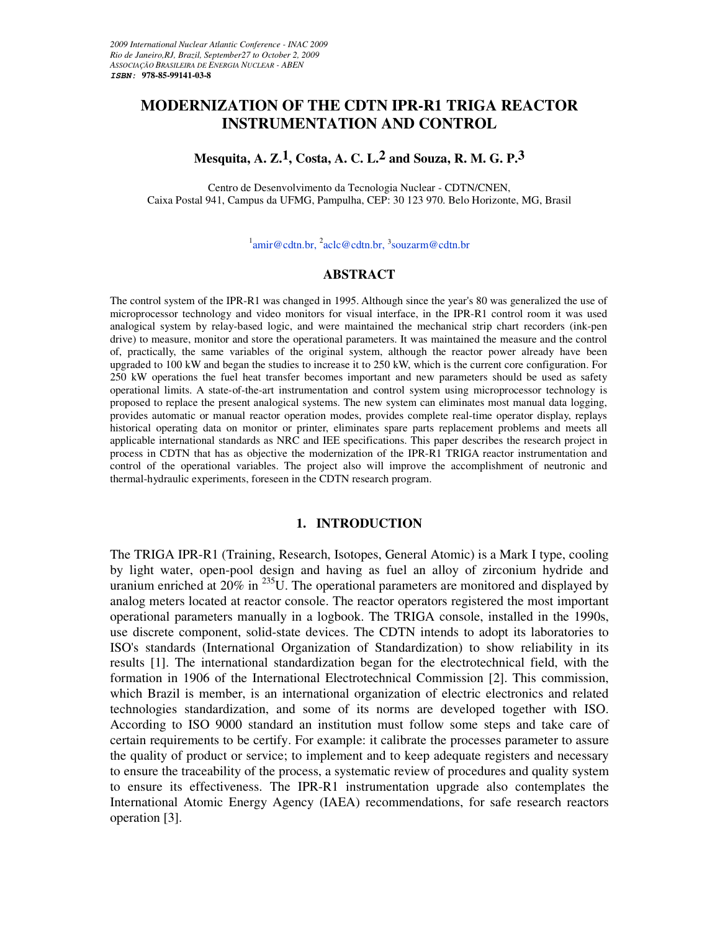# **MODERNIZATION OF THE CDTN IPR-R1 TRIGA REACTOR INSTRUMENTATION AND CONTROL**

# **Mesquita, A. Z.1, Costa, A. C. L.2 and Souza, R. M. G. P.3**

Centro de Desenvolvimento da Tecnologia Nuclear - CDTN/CNEN, Caixa Postal 941, Campus da UFMG, Pampulha, CEP: 30 123 970. Belo Horizonte, MG, Brasil

 $\frac{1}{2}$ amir@cdtn.br,  $\frac{2}{3}$ aclc@cdtn.br,  $\frac{3}{3}$ souzarm@cdtn.br

#### **ABSTRACT**

The control system of the IPR-R1 was changed in 1995. Although since the year's 80 was generalized the use of microprocessor technology and video monitors for visual interface, in the IPR-R1 control room it was used analogical system by relay-based logic, and were maintained the mechanical strip chart recorders (ink-pen drive) to measure, monitor and store the operational parameters. It was maintained the measure and the control of, practically, the same variables of the original system, although the reactor power already have been upgraded to 100 kW and began the studies to increase it to 250 kW, which is the current core configuration. For 250 kW operations the fuel heat transfer becomes important and new parameters should be used as safety operational limits. A state-of-the-art instrumentation and control system using microprocessor technology is proposed to replace the present analogical systems. The new system can eliminates most manual data logging, provides automatic or manual reactor operation modes, provides complete real-time operator display, replays historical operating data on monitor or printer, eliminates spare parts replacement problems and meets all applicable international standards as NRC and IEE specifications. This paper describes the research project in process in CDTN that has as objective the modernization of the IPR-R1 TRIGA reactor instrumentation and control of the operational variables. The project also will improve the accomplishment of neutronic and thermal-hydraulic experiments, foreseen in the CDTN research program.

### **1. INTRODUCTION**

The TRIGA IPR-R1 (Training, Research, Isotopes, General Atomic) is a Mark I type, cooling by light water, open-pool design and having as fuel an alloy of zirconium hydride and uranium enriched at  $20\%$  in  $^{235}$ U. The operational parameters are monitored and displayed by analog meters located at reactor console. The reactor operators registered the most important operational parameters manually in a logbook. The TRIGA console, installed in the 1990s, use discrete component, solid-state devices. The CDTN intends to adopt its laboratories to ISO's standards (International Organization of Standardization) to show reliability in its results [1]. The international standardization began for the electrotechnical field, with the formation in 1906 of the International Electrotechnical Commission [2]. This commission, which Brazil is member, is an international organization of electric electronics and related technologies standardization, and some of its norms are developed together with ISO. According to ISO 9000 standard an institution must follow some steps and take care of certain requirements to be certify. For example: it calibrate the processes parameter to assure the quality of product or service; to implement and to keep adequate registers and necessary to ensure the traceability of the process, a systematic review of procedures and quality system to ensure its effectiveness. The IPR-R1 instrumentation upgrade also contemplates the International Atomic Energy Agency (IAEA) recommendations, for safe research reactors operation [3].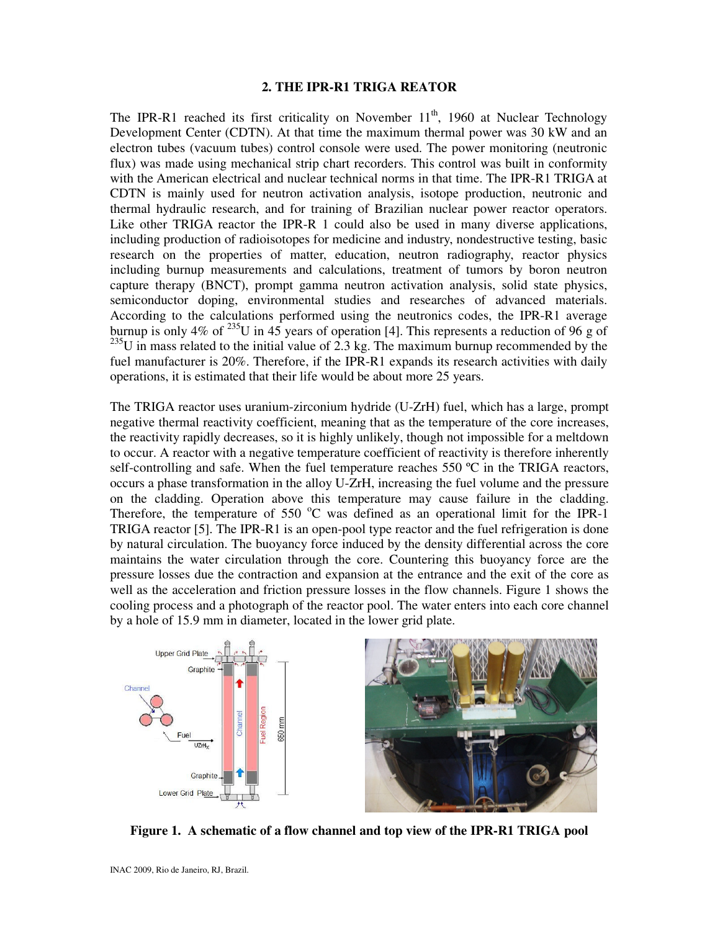#### **2. THE IPR-R1 TRIGA REATOR**

The IPR-R1 reached its first criticality on November  $11<sup>th</sup>$ , 1960 at Nuclear Technology Development Center (CDTN). At that time the maximum thermal power was 30 kW and an electron tubes (vacuum tubes) control console were used. The power monitoring (neutronic flux) was made using mechanical strip chart recorders. This control was built in conformity with the American electrical and nuclear technical norms in that time. The IPR-R1 TRIGA at CDTN is mainly used for neutron activation analysis, isotope production, neutronic and thermal hydraulic research, and for training of Brazilian nuclear power reactor operators. Like other TRIGA reactor the IPR-R 1 could also be used in many diverse applications, including production of radioisotopes for medicine and industry, nondestructive testing, basic research on the properties of matter, education, neutron radiography, reactor physics including burnup measurements and calculations, treatment of tumors by boron neutron capture therapy (BNCT), prompt gamma neutron activation analysis, solid state physics, semiconductor doping, environmental studies and researches of advanced materials. According to the calculations performed using the neutronics codes, the IPR-R1 average burnup is only  $4\%$  of  $235$ U in  $45$  years of operation [4]. This represents a reduction of 96 g of  $^{235}$ U in mass related to the initial value of 2.3 kg. The maximum burnup recommended by the fuel manufacturer is 20%. Therefore, if the IPR-R1 expands its research activities with daily operations, it is estimated that their life would be about more 25 years.

The TRIGA reactor uses uranium-zirconium hydride (U-ZrH) fuel, which has a large, prompt negative thermal reactivity coefficient, meaning that as the temperature of the core increases, the reactivity rapidly decreases, so it is highly unlikely, though not impossible for a meltdown to occur. A reactor with a negative temperature coefficient of reactivity is therefore inherently self-controlling and safe. When the fuel temperature reaches 550 °C in the TRIGA reactors, occurs a phase transformation in the alloy U-ZrH, increasing the fuel volume and the pressure on the cladding. Operation above this temperature may cause failure in the cladding. Therefore, the temperature of 550  $^{\circ}$ C was defined as an operational limit for the IPR-1 TRIGA reactor [5]. The IPR-R1 is an open-pool type reactor and the fuel refrigeration is done by natural circulation. The buoyancy force induced by the density differential across the core maintains the water circulation through the core. Countering this buoyancy force are the pressure losses due the contraction and expansion at the entrance and the exit of the core as well as the acceleration and friction pressure losses in the flow channels. Figure 1 shows the cooling process and a photograph of the reactor pool. The water enters into each core channel by a hole of 15.9 mm in diameter, located in the lower grid plate.



**Figure 1. A schematic of a flow channel and top view of the IPR-R1 TRIGA pool**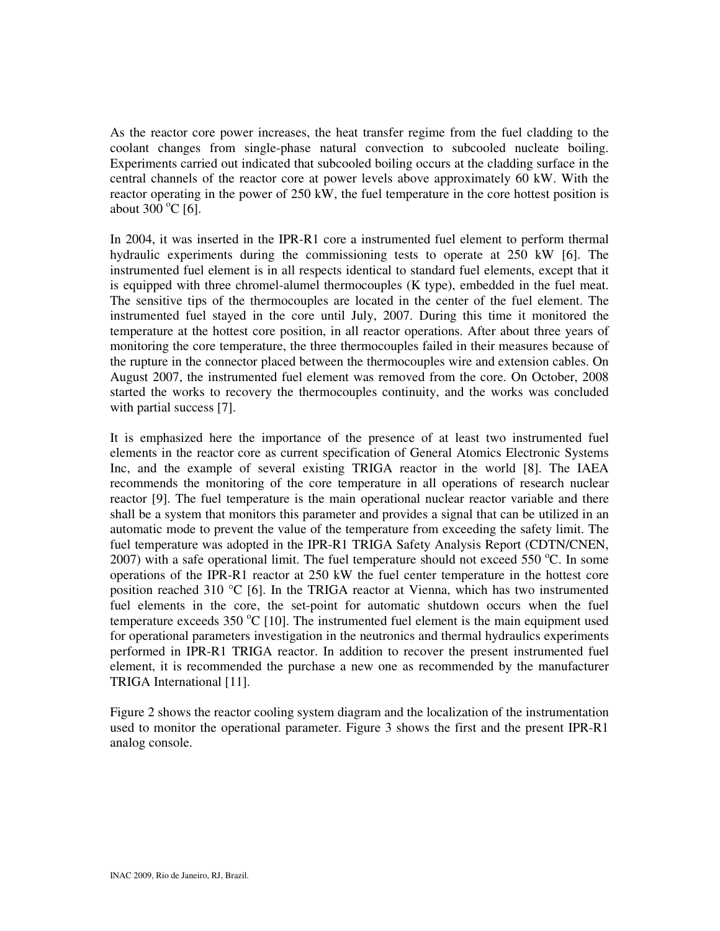As the reactor core power increases, the heat transfer regime from the fuel cladding to the coolant changes from single-phase natural convection to subcooled nucleate boiling. Experiments carried out indicated that subcooled boiling occurs at the cladding surface in the central channels of the reactor core at power levels above approximately 60 kW. With the reactor operating in the power of 250 kW, the fuel temperature in the core hottest position is about  $300^{\circ}$ C [6].

In 2004, it was inserted in the IPR-R1 core a instrumented fuel element to perform thermal hydraulic experiments during the commissioning tests to operate at 250 kW [6]. The instrumented fuel element is in all respects identical to standard fuel elements, except that it is equipped with three chromel-alumel thermocouples (K type), embedded in the fuel meat. The sensitive tips of the thermocouples are located in the center of the fuel element. The instrumented fuel stayed in the core until July, 2007. During this time it monitored the temperature at the hottest core position, in all reactor operations. After about three years of monitoring the core temperature, the three thermocouples failed in their measures because of the rupture in the connector placed between the thermocouples wire and extension cables. On August 2007, the instrumented fuel element was removed from the core. On October, 2008 started the works to recovery the thermocouples continuity, and the works was concluded with partial success [7].

It is emphasized here the importance of the presence of at least two instrumented fuel elements in the reactor core as current specification of General Atomics Electronic Systems Inc, and the example of several existing TRIGA reactor in the world [8]. The IAEA recommends the monitoring of the core temperature in all operations of research nuclear reactor [9]. The fuel temperature is the main operational nuclear reactor variable and there shall be a system that monitors this parameter and provides a signal that can be utilized in an automatic mode to prevent the value of the temperature from exceeding the safety limit. The fuel temperature was adopted in the IPR-R1 TRIGA Safety Analysis Report (CDTN/CNEN, 2007) with a safe operational limit. The fuel temperature should not exceed 550  $^{\circ}$ C. In some operations of the IPR-R1 reactor at 250 kW the fuel center temperature in the hottest core position reached 310  $^{\circ}$ C [6]. In the TRIGA reactor at Vienna, which has two instrumented fuel elements in the core, the set-point for automatic shutdown occurs when the fuel temperature exceeds  $350 \degree C$  [10]. The instrumented fuel element is the main equipment used for operational parameters investigation in the neutronics and thermal hydraulics experiments performed in IPR-R1 TRIGA reactor. In addition to recover the present instrumented fuel element, it is recommended the purchase a new one as recommended by the manufacturer TRIGA International [11].

Figure 2 shows the reactor cooling system diagram and the localization of the instrumentation used to monitor the operational parameter. Figure 3 shows the first and the present IPR-R1 analog console.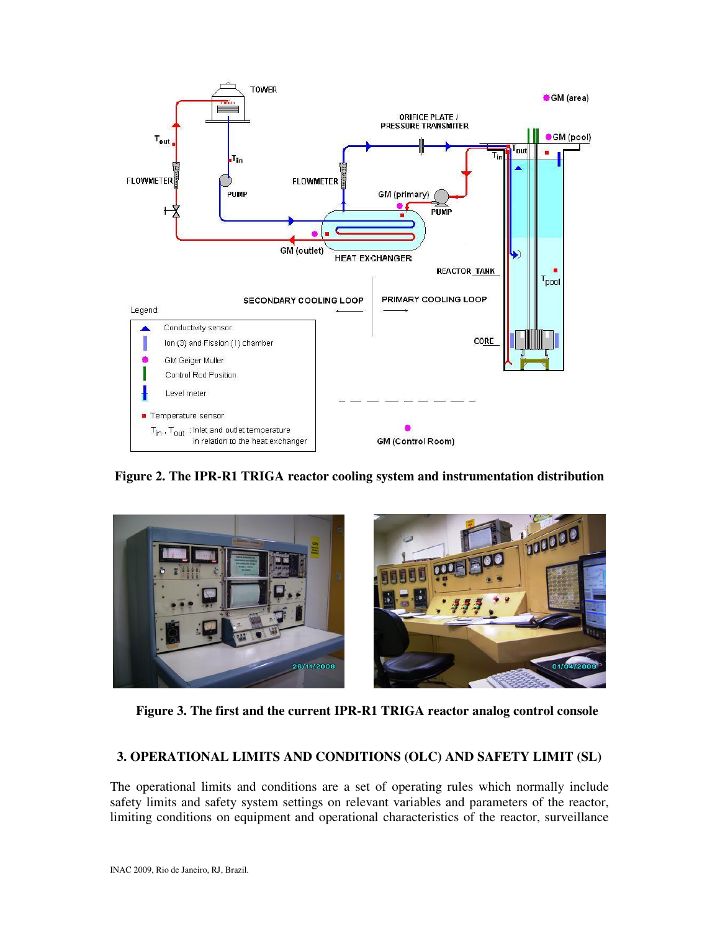

**Figure 2. The IPR-R1 TRIGA reactor cooling system and instrumentation distribution** 



**Figure 3. The first and the current IPR-R1 TRIGA reactor analog control console** 

# **3. OPERATIONAL LIMITS AND CONDITIONS (OLC) AND SAFETY LIMIT (SL)**

The operational limits and conditions are a set of operating rules which normally include safety limits and safety system settings on relevant variables and parameters of the reactor, limiting conditions on equipment and operational characteristics of the reactor, surveillance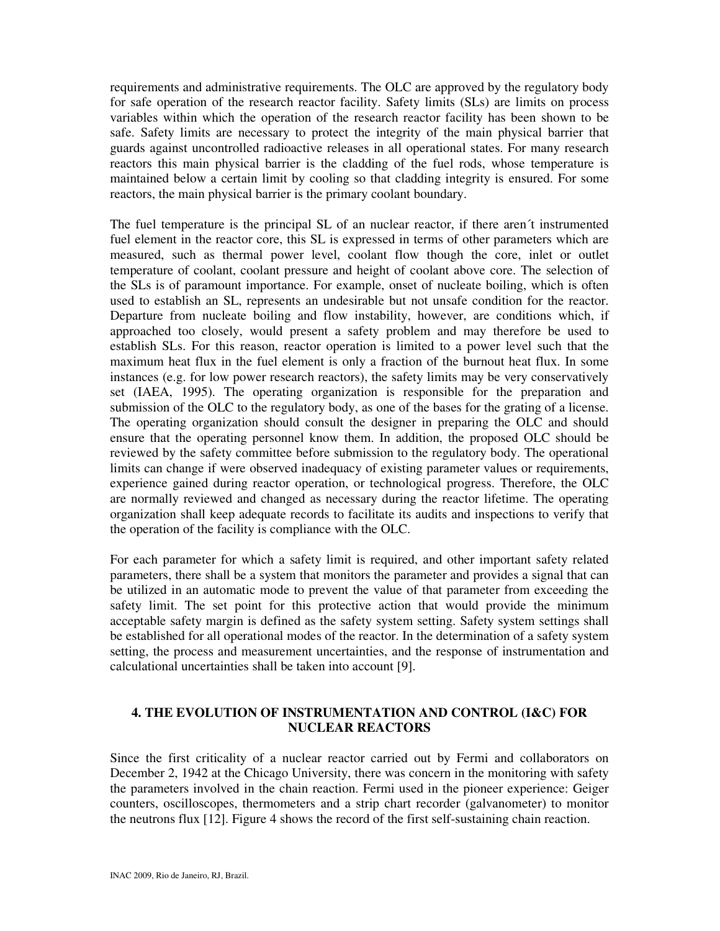requirements and administrative requirements. The OLC are approved by the regulatory body for safe operation of the research reactor facility. Safety limits (SLs) are limits on process variables within which the operation of the research reactor facility has been shown to be safe. Safety limits are necessary to protect the integrity of the main physical barrier that guards against uncontrolled radioactive releases in all operational states. For many research reactors this main physical barrier is the cladding of the fuel rods, whose temperature is maintained below a certain limit by cooling so that cladding integrity is ensured. For some reactors, the main physical barrier is the primary coolant boundary.

The fuel temperature is the principal SL of an nuclear reactor, if there aren´t instrumented fuel element in the reactor core, this SL is expressed in terms of other parameters which are measured, such as thermal power level, coolant flow though the core, inlet or outlet temperature of coolant, coolant pressure and height of coolant above core. The selection of the SLs is of paramount importance. For example, onset of nucleate boiling, which is often used to establish an SL, represents an undesirable but not unsafe condition for the reactor. Departure from nucleate boiling and flow instability, however, are conditions which, if approached too closely, would present a safety problem and may therefore be used to establish SLs. For this reason, reactor operation is limited to a power level such that the maximum heat flux in the fuel element is only a fraction of the burnout heat flux. In some instances (e.g. for low power research reactors), the safety limits may be very conservatively set (IAEA, 1995). The operating organization is responsible for the preparation and submission of the OLC to the regulatory body, as one of the bases for the grating of a license. The operating organization should consult the designer in preparing the OLC and should ensure that the operating personnel know them. In addition, the proposed OLC should be reviewed by the safety committee before submission to the regulatory body. The operational limits can change if were observed inadequacy of existing parameter values or requirements, experience gained during reactor operation, or technological progress. Therefore, the OLC are normally reviewed and changed as necessary during the reactor lifetime. The operating organization shall keep adequate records to facilitate its audits and inspections to verify that the operation of the facility is compliance with the OLC.

For each parameter for which a safety limit is required, and other important safety related parameters, there shall be a system that monitors the parameter and provides a signal that can be utilized in an automatic mode to prevent the value of that parameter from exceeding the safety limit. The set point for this protective action that would provide the minimum acceptable safety margin is defined as the safety system setting. Safety system settings shall be established for all operational modes of the reactor. In the determination of a safety system setting, the process and measurement uncertainties, and the response of instrumentation and calculational uncertainties shall be taken into account [9].

## **4. THE EVOLUTION OF INSTRUMENTATION AND CONTROL (I&C) FOR NUCLEAR REACTORS**

Since the first criticality of a nuclear reactor carried out by Fermi and collaborators on December 2, 1942 at the Chicago University, there was concern in the monitoring with safety the parameters involved in the chain reaction. Fermi used in the pioneer experience: Geiger counters, oscilloscopes, thermometers and a strip chart recorder (galvanometer) to monitor the neutrons flux [12]. Figure 4 shows the record of the first self-sustaining chain reaction.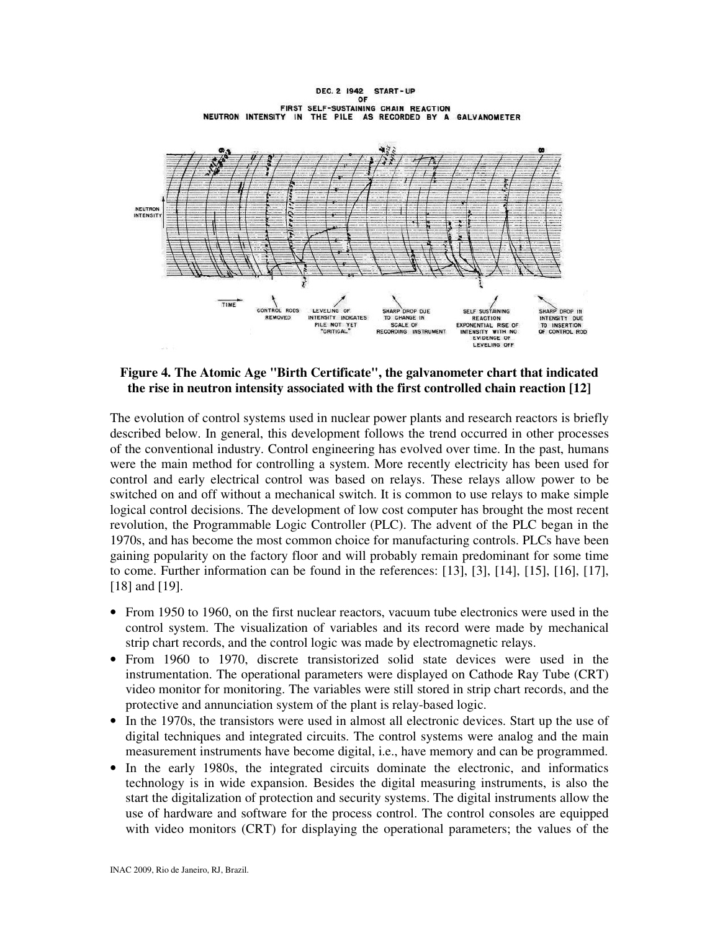DEC. 2 1942 START-UP OF FIRST SELF-SUSTAINING CHAIN REACTION NEUTRON INTENSITY IN THE PILE AS RECORDED BY A GALVANOMETER



### **Figure 4. The Atomic Age "Birth Certificate", the galvanometer chart that indicated the rise in neutron intensity associated with the first controlled chain reaction [12]**

The evolution of control systems used in nuclear power plants and research reactors is briefly described below. In general, this development follows the trend occurred in other processes of the conventional industry. Control engineering has evolved over time. In the past, humans were the main method for controlling a system. More recently electricity has been used for control and early electrical control was based on relays. These relays allow power to be switched on and off without a mechanical switch. It is common to use relays to make simple logical control decisions. The development of low cost computer has brought the most recent revolution, the Programmable Logic Controller (PLC). The advent of the PLC began in the 1970s, and has become the most common choice for manufacturing controls. PLCs have been gaining popularity on the factory floor and will probably remain predominant for some time to come. Further information can be found in the references: [13], [3], [14], [15], [16], [17], [18] and [19].

- From 1950 to 1960, on the first nuclear reactors, vacuum tube electronics were used in the control system. The visualization of variables and its record were made by mechanical strip chart records, and the control logic was made by electromagnetic relays.
- From 1960 to 1970, discrete transistorized solid state devices were used in the instrumentation. The operational parameters were displayed on Cathode Ray Tube (CRT) video monitor for monitoring. The variables were still stored in strip chart records, and the protective and annunciation system of the plant is relay-based logic.
- In the 1970s, the transistors were used in almost all electronic devices. Start up the use of digital techniques and integrated circuits. The control systems were analog and the main measurement instruments have become digital, i.e., have memory and can be programmed.
- In the early 1980s, the integrated circuits dominate the electronic, and informatics technology is in wide expansion. Besides the digital measuring instruments, is also the start the digitalization of protection and security systems. The digital instruments allow the use of hardware and software for the process control. The control consoles are equipped with video monitors (CRT) for displaying the operational parameters; the values of the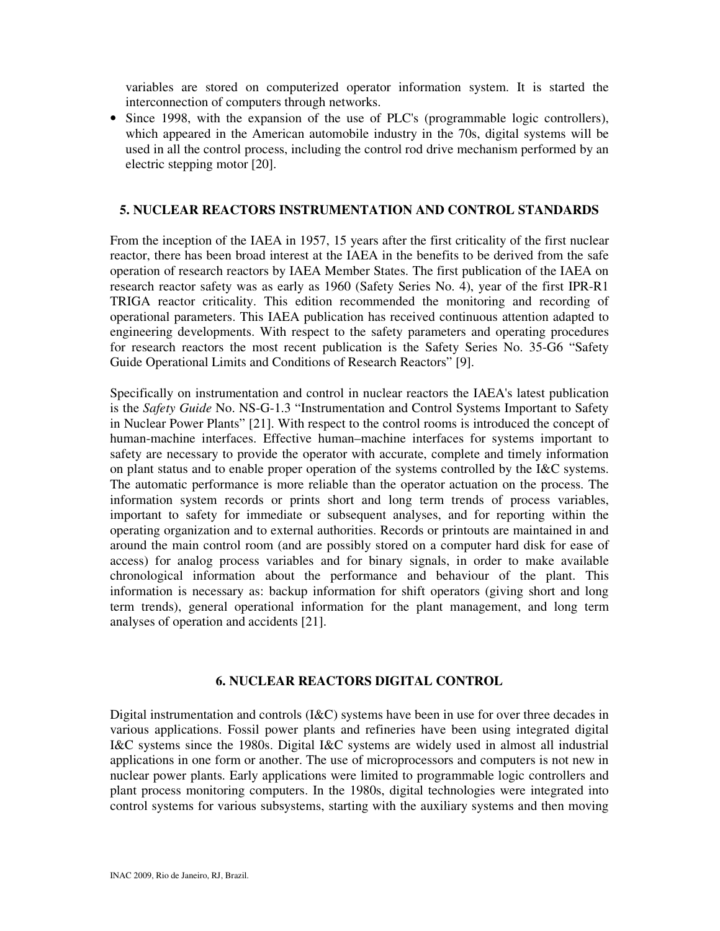variables are stored on computerized operator information system. It is started the interconnection of computers through networks.

• Since 1998, with the expansion of the use of PLC's (programmable logic controllers), which appeared in the American automobile industry in the 70s, digital systems will be used in all the control process, including the control rod drive mechanism performed by an electric stepping motor [20].

### **5. NUCLEAR REACTORS INSTRUMENTATION AND CONTROL STANDARDS**

From the inception of the IAEA in 1957, 15 years after the first criticality of the first nuclear reactor, there has been broad interest at the IAEA in the benefits to be derived from the safe operation of research reactors by IAEA Member States. The first publication of the IAEA on research reactor safety was as early as 1960 (Safety Series No. 4), year of the first IPR-R1 TRIGA reactor criticality. This edition recommended the monitoring and recording of operational parameters. This IAEA publication has received continuous attention adapted to engineering developments. With respect to the safety parameters and operating procedures for research reactors the most recent publication is the Safety Series No. 35-G6 "Safety Guide Operational Limits and Conditions of Research Reactors" [9].

Specifically on instrumentation and control in nuclear reactors the IAEA's latest publication is the *Safety Guide* No. NS-G-1.3 "Instrumentation and Control Systems Important to Safety in Nuclear Power Plants" [21]. With respect to the control rooms is introduced the concept of human-machine interfaces. Effective human–machine interfaces for systems important to safety are necessary to provide the operator with accurate, complete and timely information on plant status and to enable proper operation of the systems controlled by the I&C systems. The automatic performance is more reliable than the operator actuation on the process. The information system records or prints short and long term trends of process variables, important to safety for immediate or subsequent analyses, and for reporting within the operating organization and to external authorities. Records or printouts are maintained in and around the main control room (and are possibly stored on a computer hard disk for ease of access) for analog process variables and for binary signals, in order to make available chronological information about the performance and behaviour of the plant. This information is necessary as: backup information for shift operators (giving short and long term trends), general operational information for the plant management, and long term analyses of operation and accidents [21].

### **6. NUCLEAR REACTORS DIGITAL CONTROL**

Digital instrumentation and controls (I&C) systems have been in use for over three decades in various applications. Fossil power plants and refineries have been using integrated digital I&C systems since the 1980s. Digital I&C systems are widely used in almost all industrial applications in one form or another. The use of microprocessors and computers is not new in nuclear power plants. Early applications were limited to programmable logic controllers and plant process monitoring computers. In the 1980s, digital technologies were integrated into control systems for various subsystems, starting with the auxiliary systems and then moving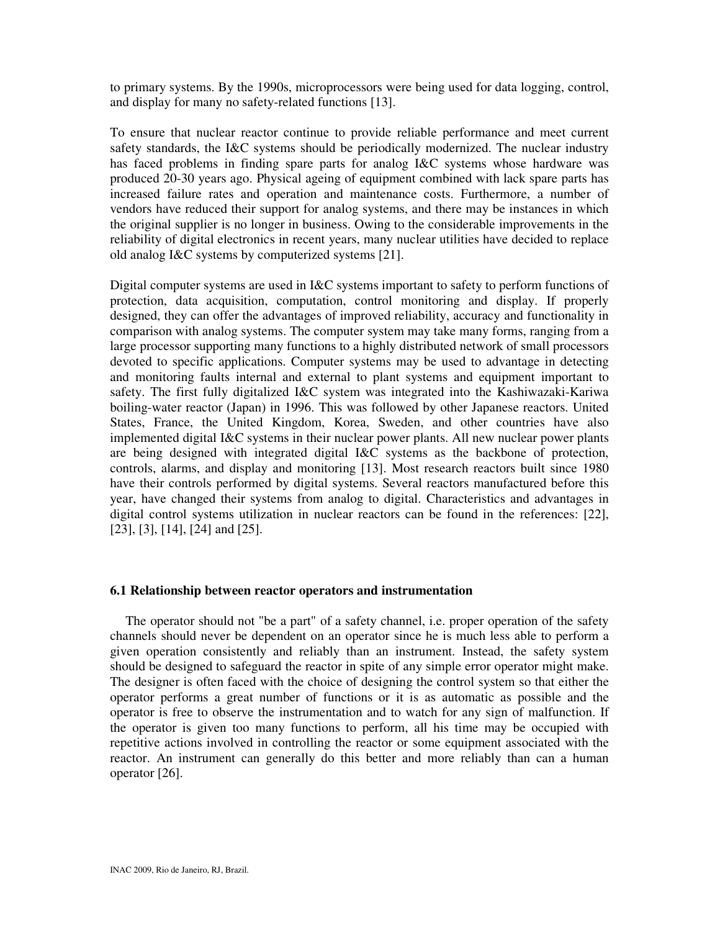to primary systems. By the 1990s, microprocessors were being used for data logging, control, and display for many no safety-related functions [13].

To ensure that nuclear reactor continue to provide reliable performance and meet current safety standards, the I&C systems should be periodically modernized. The nuclear industry has faced problems in finding spare parts for analog I&C systems whose hardware was produced 20-30 years ago. Physical ageing of equipment combined with lack spare parts has increased failure rates and operation and maintenance costs. Furthermore, a number of vendors have reduced their support for analog systems, and there may be instances in which the original supplier is no longer in business. Owing to the considerable improvements in the reliability of digital electronics in recent years, many nuclear utilities have decided to replace old analog I&C systems by computerized systems [21].

Digital computer systems are used in I&C systems important to safety to perform functions of protection, data acquisition, computation, control monitoring and display. If properly designed, they can offer the advantages of improved reliability, accuracy and functionality in comparison with analog systems. The computer system may take many forms, ranging from a large processor supporting many functions to a highly distributed network of small processors devoted to specific applications. Computer systems may be used to advantage in detecting and monitoring faults internal and external to plant systems and equipment important to safety. The first fully digitalized I&C system was integrated into the Kashiwazaki-Kariwa boiling-water reactor (Japan) in 1996. This was followed by other Japanese reactors. United States, France, the United Kingdom, Korea, Sweden, and other countries have also implemented digital I&C systems in their nuclear power plants. All new nuclear power plants are being designed with integrated digital I&C systems as the backbone of protection, controls, alarms, and display and monitoring [13]. Most research reactors built since 1980 have their controls performed by digital systems. Several reactors manufactured before this year, have changed their systems from analog to digital. Characteristics and advantages in digital control systems utilization in nuclear reactors can be found in the references: [22], [23], [3], [14], [24] and [25].

## **6.1 Relationship between reactor operators and instrumentation**

The operator should not "be a part" of a safety channel, i.e. proper operation of the safety channels should never be dependent on an operator since he is much less able to perform a given operation consistently and reliably than an instrument. Instead, the safety system should be designed to safeguard the reactor in spite of any simple error operator might make. The designer is often faced with the choice of designing the control system so that either the operator performs a great number of functions or it is as automatic as possible and the operator is free to observe the instrumentation and to watch for any sign of malfunction. If the operator is given too many functions to perform, all his time may be occupied with repetitive actions involved in controlling the reactor or some equipment associated with the reactor. An instrument can generally do this better and more reliably than can a human operator [26].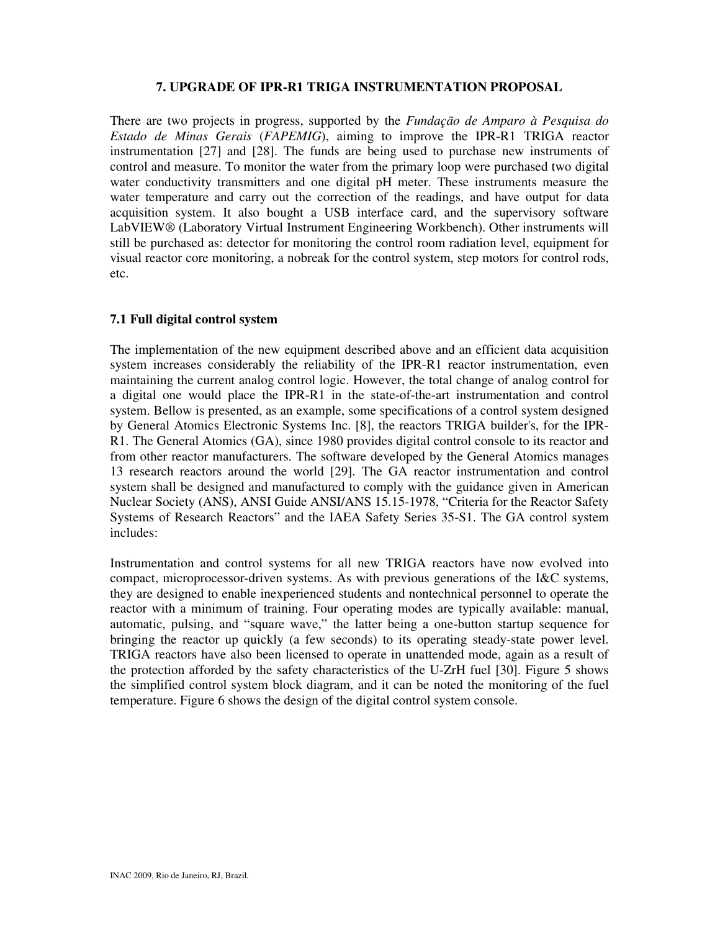## **7. UPGRADE OF IPR-R1 TRIGA INSTRUMENTATION PROPOSAL**

There are two projects in progress, supported by the *Fundação de Amparo à Pesquisa do Estado de Minas Gerais* (*FAPEMIG*), aiming to improve the IPR-R1 TRIGA reactor instrumentation [27] and [28]. The funds are being used to purchase new instruments of control and measure. To monitor the water from the primary loop were purchased two digital water conductivity transmitters and one digital pH meter. These instruments measure the water temperature and carry out the correction of the readings, and have output for data acquisition system. It also bought a USB interface card, and the supervisory software LabVIEW® (Laboratory Virtual Instrument Engineering Workbench). Other instruments will still be purchased as: detector for monitoring the control room radiation level, equipment for visual reactor core monitoring, a nobreak for the control system, step motors for control rods, etc.

## **7.1 Full digital control system**

The implementation of the new equipment described above and an efficient data acquisition system increases considerably the reliability of the IPR-R1 reactor instrumentation, even maintaining the current analog control logic. However, the total change of analog control for a digital one would place the IPR-R1 in the state-of-the-art instrumentation and control system. Bellow is presented, as an example, some specifications of a control system designed by General Atomics Electronic Systems Inc. [8], the reactors TRIGA builder's, for the IPR-R1. The General Atomics (GA), since 1980 provides digital control console to its reactor and from other reactor manufacturers. The software developed by the General Atomics manages 13 research reactors around the world [29]. The GA reactor instrumentation and control system shall be designed and manufactured to comply with the guidance given in American Nuclear Society (ANS), ANSI Guide ANSI/ANS 15.15-1978, "Criteria for the Reactor Safety Systems of Research Reactors" and the IAEA Safety Series 35-S1. The GA control system includes:

Instrumentation and control systems for all new TRIGA reactors have now evolved into compact, microprocessor-driven systems. As with previous generations of the I&C systems, they are designed to enable inexperienced students and nontechnical personnel to operate the reactor with a minimum of training. Four operating modes are typically available: manual, automatic, pulsing, and "square wave," the latter being a one-button startup sequence for bringing the reactor up quickly (a few seconds) to its operating steady-state power level. TRIGA reactors have also been licensed to operate in unattended mode, again as a result of the protection afforded by the safety characteristics of the U-ZrH fuel [30]. Figure 5 shows the simplified control system block diagram, and it can be noted the monitoring of the fuel temperature. Figure 6 shows the design of the digital control system console.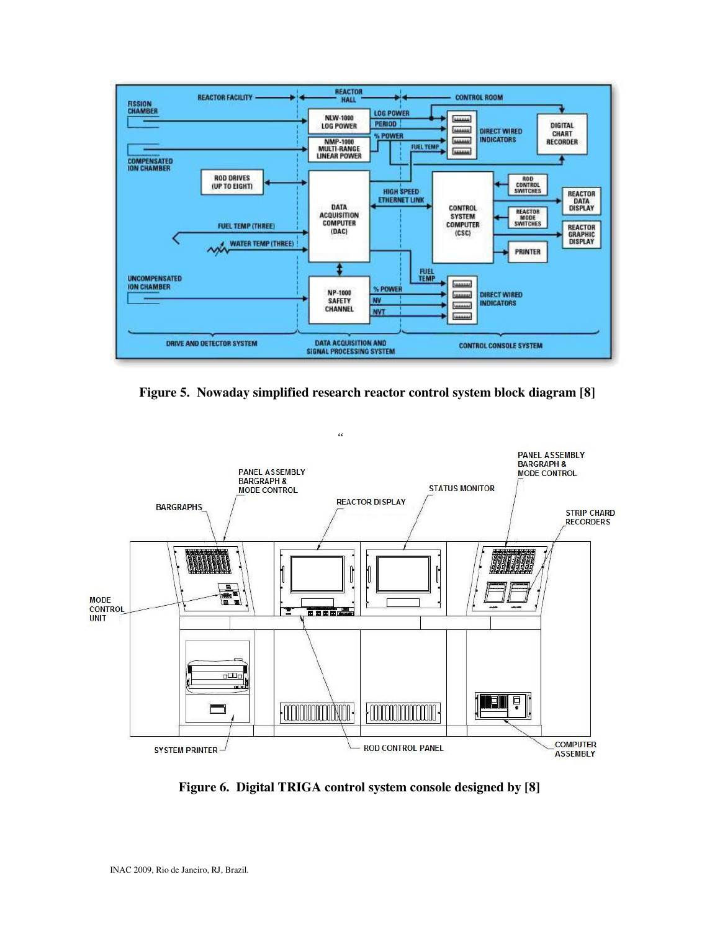

**Figure 5. Nowaday simplified research reactor control system block diagram [8]** 



**Figure 6. Digital TRIGA control system console designed by [8]**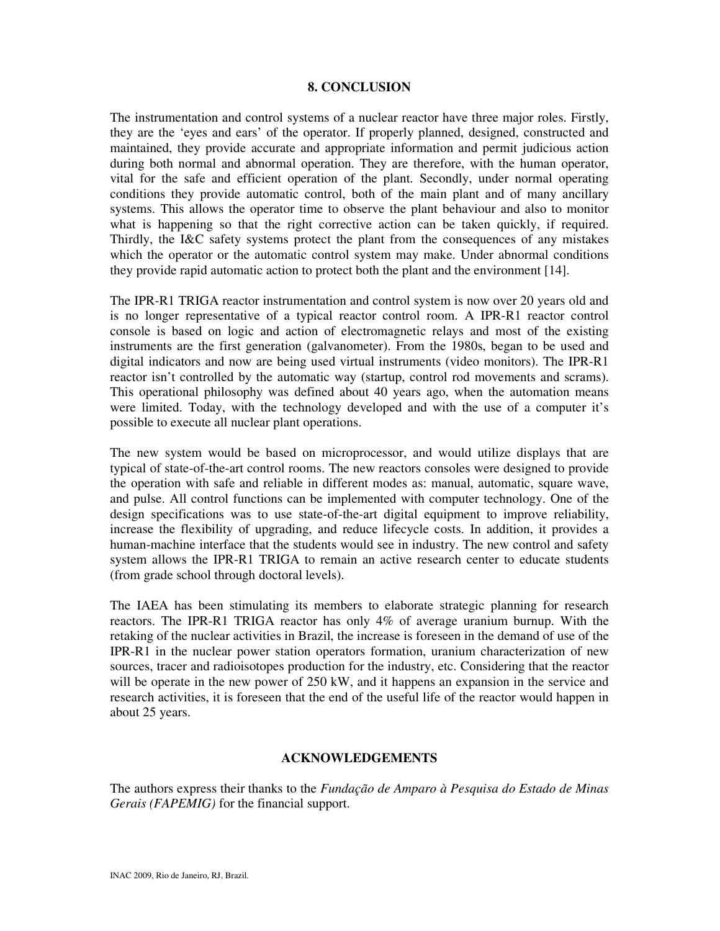#### **8. CONCLUSION**

The instrumentation and control systems of a nuclear reactor have three major roles. Firstly, they are the 'eyes and ears' of the operator. If properly planned, designed, constructed and maintained, they provide accurate and appropriate information and permit judicious action during both normal and abnormal operation. They are therefore, with the human operator, vital for the safe and efficient operation of the plant. Secondly, under normal operating conditions they provide automatic control, both of the main plant and of many ancillary systems. This allows the operator time to observe the plant behaviour and also to monitor what is happening so that the right corrective action can be taken quickly, if required. Thirdly, the I&C safety systems protect the plant from the consequences of any mistakes which the operator or the automatic control system may make. Under abnormal conditions they provide rapid automatic action to protect both the plant and the environment [14].

The IPR-R1 TRIGA reactor instrumentation and control system is now over 20 years old and is no longer representative of a typical reactor control room. A IPR-R1 reactor control console is based on logic and action of electromagnetic relays and most of the existing instruments are the first generation (galvanometer). From the 1980s, began to be used and digital indicators and now are being used virtual instruments (video monitors). The IPR-R1 reactor isn't controlled by the automatic way (startup, control rod movements and scrams). This operational philosophy was defined about 40 years ago, when the automation means were limited. Today, with the technology developed and with the use of a computer it's possible to execute all nuclear plant operations.

The new system would be based on microprocessor, and would utilize displays that are typical of state-of-the-art control rooms. The new reactors consoles were designed to provide the operation with safe and reliable in different modes as: manual, automatic, square wave, and pulse. All control functions can be implemented with computer technology. One of the design specifications was to use state-of-the-art digital equipment to improve reliability, increase the flexibility of upgrading, and reduce lifecycle costs. In addition, it provides a human-machine interface that the students would see in industry. The new control and safety system allows the IPR-R1 TRIGA to remain an active research center to educate students (from grade school through doctoral levels).

The IAEA has been stimulating its members to elaborate strategic planning for research reactors. The IPR-R1 TRIGA reactor has only 4% of average uranium burnup. With the retaking of the nuclear activities in Brazil, the increase is foreseen in the demand of use of the IPR-R1 in the nuclear power station operators formation, uranium characterization of new sources, tracer and radioisotopes production for the industry, etc. Considering that the reactor will be operate in the new power of 250 kW, and it happens an expansion in the service and research activities, it is foreseen that the end of the useful life of the reactor would happen in about 25 years.

#### **ACKNOWLEDGEMENTS**

The authors express their thanks to the *Fundação de Amparo à Pesquisa do Estado de Minas Gerais (FAPEMIG)* for the financial support.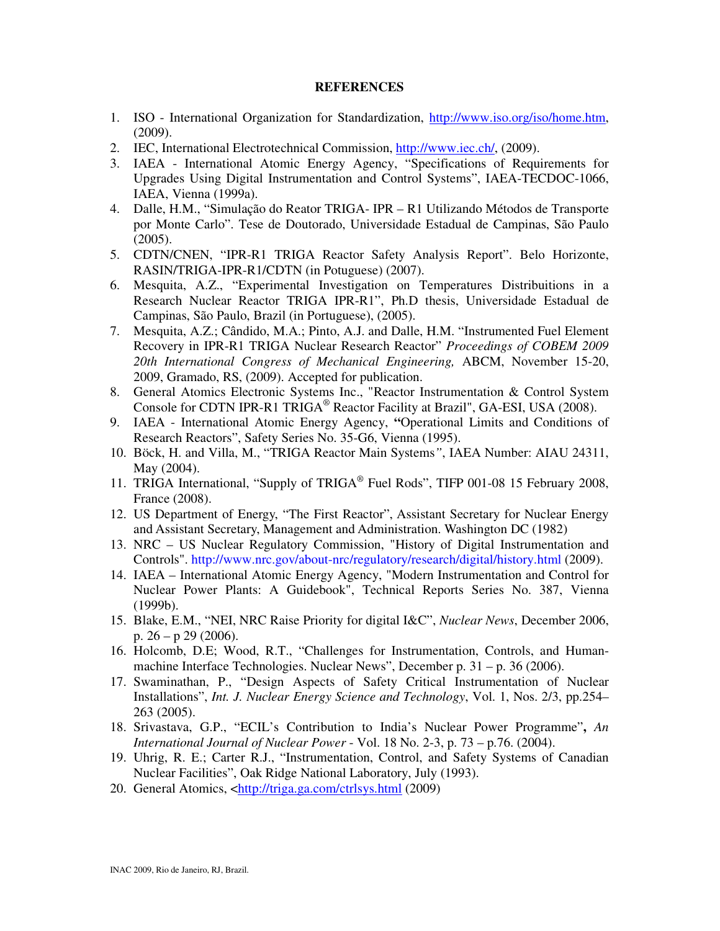#### **REFERENCES**

- 1. ISO International Organization for Standardization, http://www.iso.org/iso/home.htm, (2009).
- 2. IEC, International Electrotechnical Commission, http://www.iec.ch/, (2009).
- 3. IAEA International Atomic Energy Agency, "Specifications of Requirements for Upgrades Using Digital Instrumentation and Control Systems", IAEA-TECDOC-1066, IAEA, Vienna (1999a).
- 4. Dalle, H.M., "Simulação do Reator TRIGA- IPR R1 Utilizando Métodos de Transporte por Monte Carlo". Tese de Doutorado, Universidade Estadual de Campinas, São Paulo (2005).
- 5. CDTN/CNEN, "IPR-R1 TRIGA Reactor Safety Analysis Report". Belo Horizonte, RASIN/TRIGA-IPR-R1/CDTN (in Potuguese) (2007).
- 6. Mesquita, A.Z., "Experimental Investigation on Temperatures Distribuitions in a Research Nuclear Reactor TRIGA IPR-R1", Ph.D thesis, Universidade Estadual de Campinas, São Paulo, Brazil (in Portuguese), (2005).
- 7. Mesquita, A.Z.; Cândido, M.A.; Pinto, A.J. and Dalle, H.M. "Instrumented Fuel Element Recovery in IPR-R1 TRIGA Nuclear Research Reactor" *Proceedings of COBEM 2009 20th International Congress of Mechanical Engineering,* ABCM, November 15-20, 2009, Gramado, RS, (2009). Accepted for publication.
- 8. General Atomics Electronic Systems Inc., "Reactor Instrumentation & Control System Console for CDTN IPR-R1 TRIGA<sup>®</sup> Reactor Facility at Brazil", GA-ESI, USA (2008).
- 9. IAEA International Atomic Energy Agency, **"**Operational Limits and Conditions of Research Reactors", Safety Series No. 35-G6, Vienna (1995).
- 10. Böck, H. and Villa, M., "TRIGA Reactor Main Systems*"*, IAEA Number: AIAU 24311, May (2004).
- 11. TRIGA International, "Supply of TRIGA® Fuel Rods", TIFP 001-08 15 February 2008, France (2008).
- 12. US Department of Energy, "The First Reactor", Assistant Secretary for Nuclear Energy and Assistant Secretary, Management and Administration. Washington DC (1982)
- 13. NRC US Nuclear Regulatory Commission, "History of Digital Instrumentation and Controls". http://www.nrc.gov/about-nrc/regulatory/research/digital/history.html (2009).
- 14. IAEA International Atomic Energy Agency, "Modern Instrumentation and Control for Nuclear Power Plants: A Guidebook", Technical Reports Series No. 387, Vienna (1999b).
- 15. Blake, E.M., "NEI, NRC Raise Priority for digital I&C", *Nuclear News*, December 2006, p.  $26 - p$  29 (2006).
- 16. Holcomb, D.E; Wood, R.T., "Challenges for Instrumentation, Controls, and Humanmachine Interface Technologies. Nuclear News", December p. 31 – p. 36 (2006).
- 17. Swaminathan, P., "Design Aspects of Safety Critical Instrumentation of Nuclear Installations", *Int. J. Nuclear Energy Science and Technology*, Vol. 1, Nos. 2/3, pp.254– 263 (2005).
- 18. Srivastava, G.P., "ECIL's Contribution to India's Nuclear Power Programme"**,** *An International Journal of Nuclear Power* - Vol. 18 No. 2-3, p. 73 – p.76. (2004).
- 19. Uhrig, R. E.; Carter R.J., "Instrumentation, Control, and Safety Systems of Canadian Nuclear Facilities", Oak Ridge National Laboratory, July (1993).
- 20. General Atomics, <http://triga.ga.com/ctrlsys.html (2009)